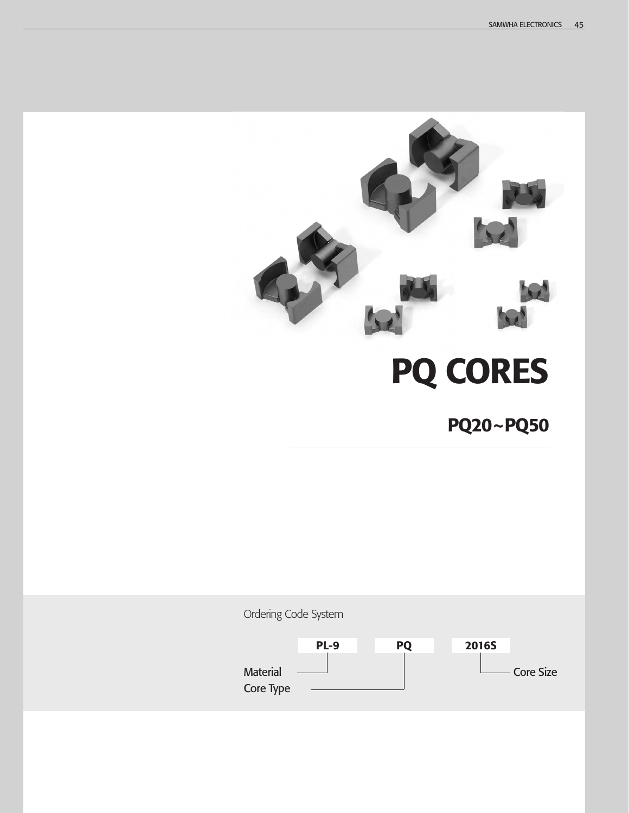

# **PQ CORES**

**PQ20~PQ50**

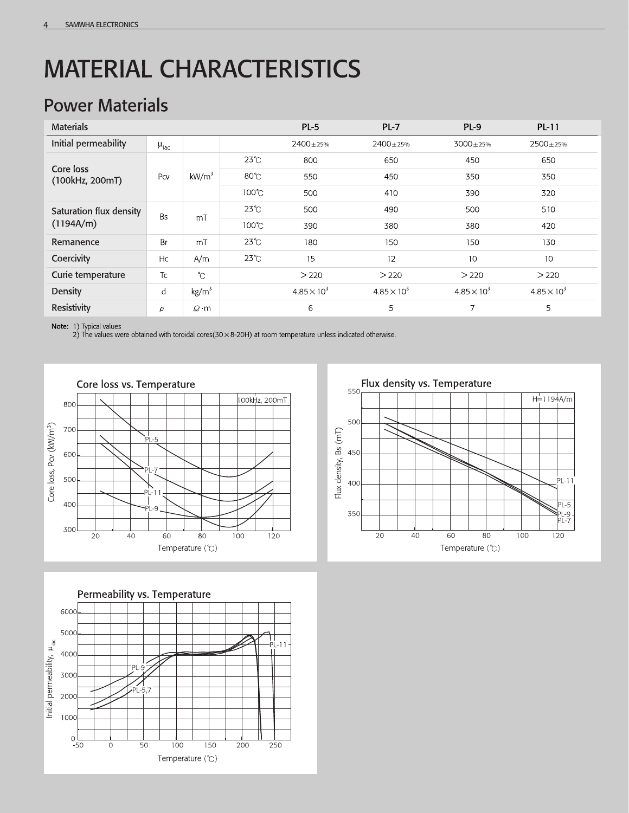## **MATERIAL CHARACTERISTICS**

#### **Power Materials**

| <b>Materials</b>        |                    |                   |                 | $PL-5$               | $PL-7$               | $PL-9$               | $PL-11$              |
|-------------------------|--------------------|-------------------|-----------------|----------------------|----------------------|----------------------|----------------------|
| Initial permeability    | $\mu_{\text{iac}}$ |                   |                 | $2400 + 25%$         | $2400 + 25%$         | $3000 + 25%$         | $2500 \pm 25%$       |
| Core loss               | Pcv                | kW/m <sup>3</sup> | $23^{\circ}$ C  | 800                  | 650                  | 450                  | 650                  |
| (100kHz, 200mT)         |                    |                   | $80^{\circ}$ C  | 550                  | 450                  | 350                  | 350                  |
|                         |                    |                   | $100^{\circ}$ C | 500                  | 410                  | 390                  | 320                  |
| Saturation flux density | <b>Bs</b>          | m <sub>T</sub>    | $23^{\circ}$ C  | 500                  | 490                  | 500                  | 510                  |
| (1194A/m)               |                    |                   | $100^{\circ}$ C | 390                  | 380                  | 380                  | 420                  |
| Remanence               | Br                 | mT                | $23^\circ$ C    | 180                  | 150                  | 150                  | 130                  |
| Coercivity              | Hc                 | A/m               | $23^\circ$ C    | 15                   | 12                   | 10                   | 10                   |
| Curie temperature       | Tc                 | $\hat{C}$         |                 | > 220                | > 220                | > 220                | >220                 |
| Density                 | d                  | kg/m <sup>3</sup> |                 | $4.85 \times 10^{3}$ | $4.85 \times 10^{3}$ | $4.85 \times 10^{3}$ | $4.85 \times 10^{3}$ |
| Resistivity             | $\rho$             | $Q \cdot m$       |                 | 6                    | 5                    | 7                    | 5                    |

Note: 1) Typical values

2) The values were obtained with toroidal cores (30  $\times$  8-20H) at room temperature unless indicated otherwise.





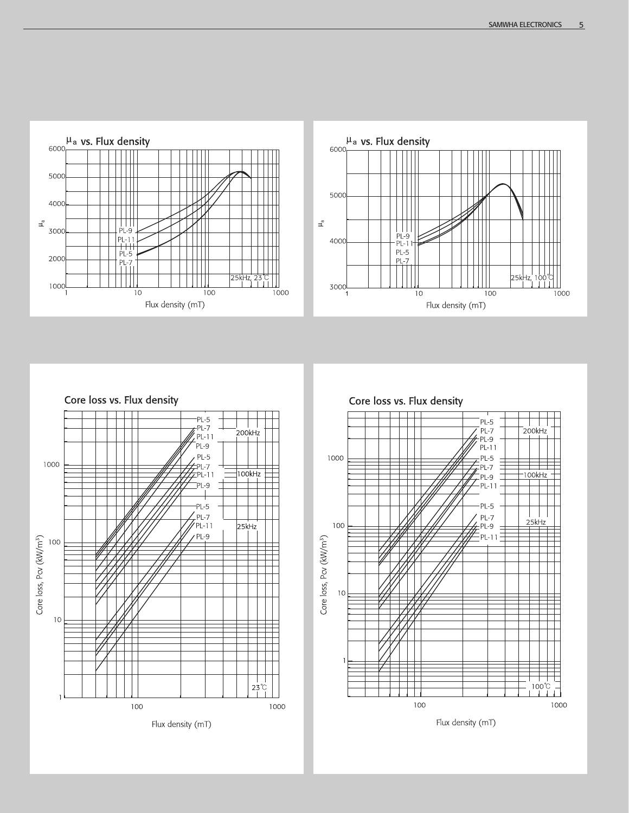



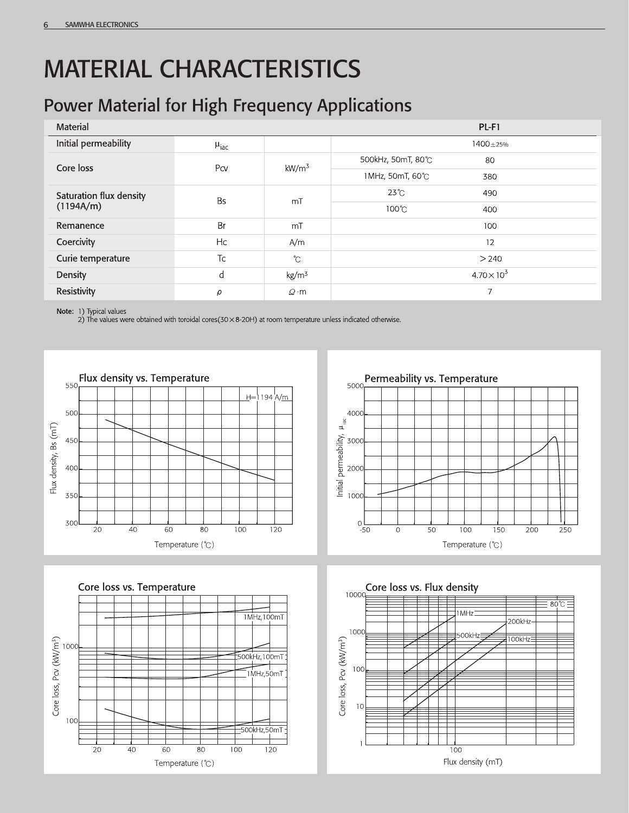## **MATERIAL CHARACTERISTICS**

#### **Power Material for High Frequency Applications**

| Material                |                    |                   | $PL-F1$                 |  |  |  |
|-------------------------|--------------------|-------------------|-------------------------|--|--|--|
| Initial permeability    | $\mu_{\text{iac}}$ |                   | $1400 + 25%$            |  |  |  |
| Core loss               | Pcv                | kW/m <sup>3</sup> | 500kHz, 50mT, 80℃<br>80 |  |  |  |
|                         |                    |                   | 1MHz, 50mT, 60℃<br>380  |  |  |  |
| Saturation flux density | Bs                 | mT                | $23^{\circ}$ C<br>490   |  |  |  |
| (1194A/m)               |                    |                   | 100℃<br>400             |  |  |  |
| Remanence               | Br                 | mT                | 100                     |  |  |  |
| Coercivity              | Hc                 | A/m               | 12                      |  |  |  |
| Curie temperature       | Tc                 | $\mathcal{C}$     | > 240                   |  |  |  |
| Density                 | d                  | $\text{kg/m}^3$   | $4.70 \times 10^{3}$    |  |  |  |
| <b>Resistivity</b>      | ρ                  | $Q$ m             | $\overline{7}$          |  |  |  |

Note: 1) Typical values<br>2) The values were obtained with toroidal cores(30 × 8-20H) at room temperature unless indicated otherwise.







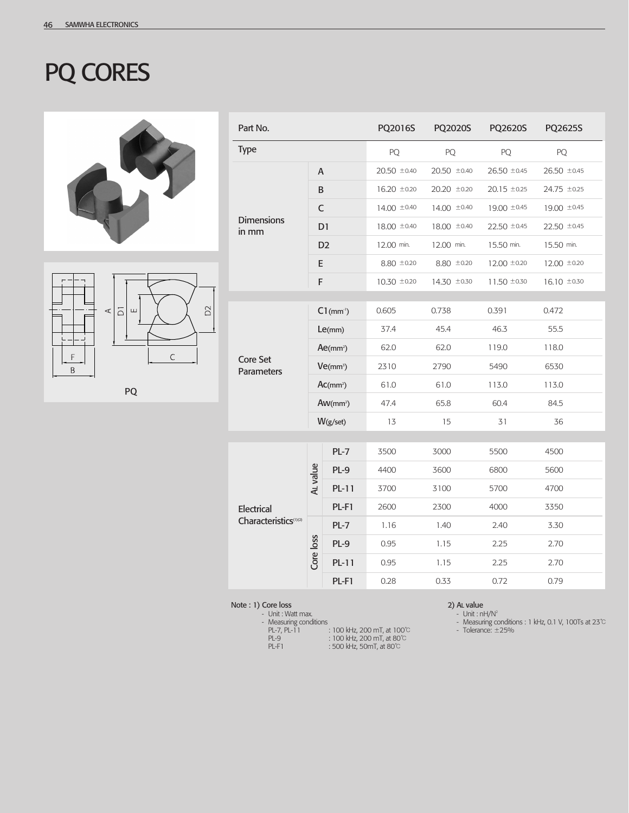### PQ CORES





PQ

| Part No.                          |                          |         | PQ2016S          | PQ2020S         | PQ2620S          | PQ2625S          |
|-----------------------------------|--------------------------|---------|------------------|-----------------|------------------|------------------|
| <b>Type</b>                       |                          |         | PQ               | PQ              | PQ               | PQ               |
|                                   | A                        |         | $20.50 \pm 0.40$ | 20.50 ±0.40     | 26.50 ±0.45      | $26.50 \pm 0.45$ |
|                                   | B                        |         | $16.20 \pm 0.20$ | 20.20 ±0.20     | $20.15 \pm 0.25$ | 24.75 ±0.25      |
|                                   | $\mathsf C$              |         | 14.00 $\pm$ 0.40 | 14.00 ±0.40     | 19.00 ±0.45      | 19.00 ±0.45      |
| <b>Dimensions</b><br>in mm        | D <sub>1</sub>           |         | $18,00 \pm 0.40$ | 18.00 ±0.40     | $22.50 \pm 0.45$ | $22.50 \pm 0.45$ |
|                                   | D <sub>2</sub>           |         | 12.00 min.       | 12.00 min.      | 15.50 min.       | 15.50 min.       |
|                                   | E                        |         | $8.80 \pm 0.20$  | $8.80 \pm 0.20$ | $12.00 \pm 0.20$ | $12.00 \pm 0.20$ |
|                                   | F                        |         | $10.30 \pm 0.20$ | 14.30 ±0.30     | $11.50 \pm 0.30$ | $16.10 \pm 0.30$ |
|                                   |                          |         |                  |                 |                  |                  |
|                                   | $C1$ (mm <sup>-1</sup> ) |         | 0.605            | 0.738           | 0.391            | 0.472            |
|                                   | Le(mm)                   |         | 37.4             | 45.4            | 46.3             | 55.5             |
|                                   | $Ae(mm^2)$               |         | 62.0             | 62.0            | 119.0            | 118.0            |
| <b>Core Set</b><br>Parameters     | $Ve(mm^3)$               |         | 2310             | 2790            | 5490             | 6530             |
|                                   | Ac(mm <sup>2</sup> )     |         | 61.0             | 61.0            | 113.0            | 113.0            |
|                                   | $Aw(mm^2)$               |         | 47.4             | 65.8            | 60.4             | 84.5             |
|                                   | $W(g/\text{set})$        |         | 13               | 15              | 31               | 36               |
|                                   |                          |         |                  |                 |                  |                  |
|                                   |                          | $PL-7$  | 3500             | 3000            | 5500             | 4500             |
|                                   | AL value                 | $PL-9$  | 4400             | 3600            | 6800             | 5600             |
|                                   |                          | $PL-11$ | 3700             | 3100            | 5700             | 4700             |
| Electrical                        |                          | PL-F1   | 2600             | 2300            | 4000             | 3350             |
| Characteristics <sup>(1)(2)</sup> |                          | $PL-7$  | 1.16             | 1.40            | 2.40             | 3.30             |
|                                   | Core loss                | PL-9    | 0.95             | 1.15            | 2.25             | 2.70             |
|                                   |                          | $PL-11$ | 0.95             | 1.15            | 2.25             | 2.70             |
|                                   |                          | PL-F1   | 0.28             | 0.33            | 0.72             | 0.79             |

**Note : 1) Core loss**<br>Unit : Watt max.

- Measuring conditions

- PL-7, PL-11 : 100 kHz, 200 mT, at 100℃ PL-9 : 100 kHz, 200 mT, at 80℃
- PL-F1 : 500 kHz, 50mT, at 80℃

- **2) AL value**<br>Unit : nH/N<sup>2</sup>
	- Measuring conditions : 1 kHz, 0.1 V, 100Ts at 23℃
	- Tolerance: ±25%